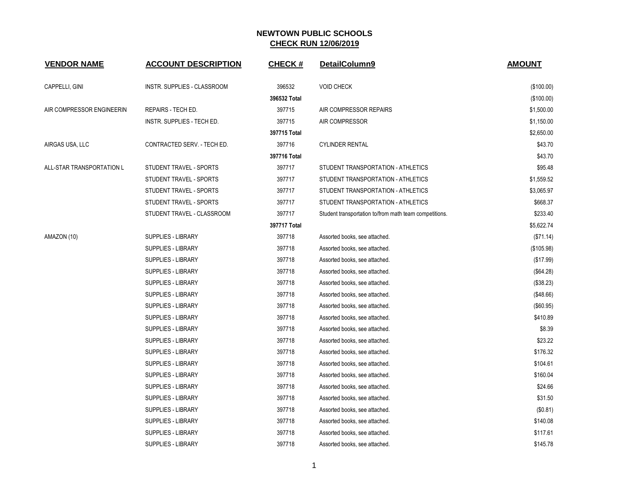| <b>VENDOR NAME</b>        | <b>ACCOUNT DESCRIPTION</b>  | <b>CHECK#</b> | DetailColumn9                                          | <b>AMOUNT</b> |
|---------------------------|-----------------------------|---------------|--------------------------------------------------------|---------------|
| CAPPELLI, GINI            | INSTR. SUPPLIES - CLASSROOM | 396532        | <b>VOID CHECK</b>                                      | (\$100.00)    |
|                           |                             | 396532 Total  |                                                        | (\$100.00)    |
| AIR COMPRESSOR ENGINEERIN | REPAIRS - TECH ED.          | 397715        | AIR COMPRESSOR REPAIRS                                 | \$1,500.00    |
|                           | INSTR. SUPPLIES - TECH ED.  | 397715        | AIR COMPRESSOR                                         | \$1,150.00    |
|                           |                             | 397715 Total  |                                                        | \$2,650.00    |
| AIRGAS USA, LLC           | CONTRACTED SERV. - TECH ED. | 397716        | <b>CYLINDER RENTAL</b>                                 | \$43.70       |
|                           |                             | 397716 Total  |                                                        | \$43.70       |
| ALL-STAR TRANSPORTATION L | STUDENT TRAVEL - SPORTS     | 397717        | STUDENT TRANSPORTATION - ATHLETICS                     | \$95.48       |
|                           | STUDENT TRAVEL - SPORTS     | 397717        | STUDENT TRANSPORTATION - ATHLETICS                     | \$1,559.52    |
|                           | STUDENT TRAVEL - SPORTS     | 397717        | STUDENT TRANSPORTATION - ATHLETICS                     | \$3,065.97    |
|                           | STUDENT TRAVEL - SPORTS     | 397717        | STUDENT TRANSPORTATION - ATHLETICS                     | \$668.37      |
|                           | STUDENT TRAVEL - CLASSROOM  | 397717        | Student transportation to/from math team competitions. | \$233.40      |
|                           |                             | 397717 Total  |                                                        | \$5,622.74    |
| AMAZON (10)               | <b>SUPPLIES - LIBRARY</b>   | 397718        | Assorted books, see attached.                          | (\$71.14)     |
|                           | SUPPLIES - LIBRARY          | 397718        | Assorted books, see attached.                          | (\$105.98)    |
|                           | SUPPLIES - LIBRARY          | 397718        | Assorted books, see attached.                          | (\$17.99)     |
|                           | <b>SUPPLIES - LIBRARY</b>   | 397718        | Assorted books, see attached.                          | (\$64.28)     |
|                           | SUPPLIES - LIBRARY          | 397718        | Assorted books, see attached.                          | (\$38.23)     |
|                           | SUPPLIES - LIBRARY          | 397718        | Assorted books, see attached.                          | (\$48.66)     |
|                           | <b>SUPPLIES - LIBRARY</b>   | 397718        | Assorted books, see attached.                          | (\$60.95)     |
|                           | <b>SUPPLIES - LIBRARY</b>   | 397718        | Assorted books, see attached.                          | \$410.89      |
|                           | SUPPLIES - LIBRARY          | 397718        | Assorted books, see attached.                          | \$8.39        |
|                           | <b>SUPPLIES - LIBRARY</b>   | 397718        | Assorted books, see attached.                          | \$23.22       |
|                           | <b>SUPPLIES - LIBRARY</b>   | 397718        | Assorted books, see attached.                          | \$176.32      |
|                           | SUPPLIES - LIBRARY          | 397718        | Assorted books, see attached.                          | \$104.61      |
|                           | <b>SUPPLIES - LIBRARY</b>   | 397718        | Assorted books, see attached.                          | \$160.04      |
|                           | SUPPLIES - LIBRARY          | 397718        | Assorted books, see attached.                          | \$24.66       |
|                           | SUPPLIES - LIBRARY          | 397718        | Assorted books, see attached.                          | \$31.50       |
|                           | <b>SUPPLIES - LIBRARY</b>   | 397718        | Assorted books, see attached.                          | (\$0.81)      |
|                           | <b>SUPPLIES - LIBRARY</b>   | 397718        | Assorted books, see attached.                          | \$140.08      |
|                           | SUPPLIES - LIBRARY          | 397718        | Assorted books, see attached.                          | \$117.61      |
|                           | <b>SUPPLIES - LIBRARY</b>   | 397718        | Assorted books, see attached.                          | \$145.78      |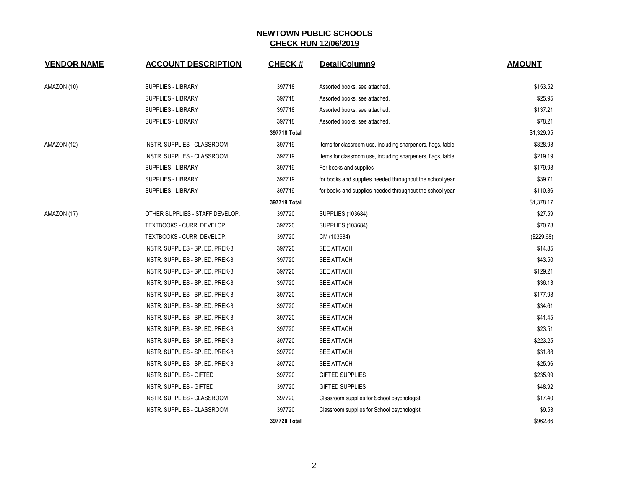| <b>VENDOR NAME</b> | <b>ACCOUNT DESCRIPTION</b>       | <b>CHECK#</b> | DetailColumn9                                               | <b>AMOUNT</b> |
|--------------------|----------------------------------|---------------|-------------------------------------------------------------|---------------|
| AMAZON (10)        | SUPPLIES - LIBRARY               | 397718        | Assorted books, see attached.                               | \$153.52      |
|                    | <b>SUPPLIES - LIBRARY</b>        | 397718        | Assorted books, see attached.                               | \$25.95       |
|                    | <b>SUPPLIES - LIBRARY</b>        | 397718        | Assorted books, see attached.                               | \$137.21      |
|                    | <b>SUPPLIES - LIBRARY</b>        | 397718        | Assorted books, see attached.                               | \$78.21       |
|                    |                                  | 397718 Total  |                                                             | \$1,329.95    |
| AMAZON (12)        | INSTR. SUPPLIES - CLASSROOM      | 397719        | Items for classroom use, including sharpeners, flags, table | \$828.93      |
|                    | INSTR. SUPPLIES - CLASSROOM      | 397719        | Items for classroom use, including sharpeners, flags, table | \$219.19      |
|                    | <b>SUPPLIES - LIBRARY</b>        | 397719        | For books and supplies                                      | \$179.98      |
|                    | <b>SUPPLIES - LIBRARY</b>        | 397719        | for books and supplies needed throughout the school year    | \$39.71       |
|                    | SUPPLIES - LIBRARY               | 397719        | for books and supplies needed throughout the school year    | \$110.36      |
|                    |                                  | 397719 Total  |                                                             | \$1,378.17    |
| AMAZON (17)        | OTHER SUPPLIES - STAFF DEVELOP.  | 397720        | SUPPLIES (103684)                                           | \$27.59       |
|                    | TEXTBOOKS - CURR. DEVELOP.       | 397720        | SUPPLIES (103684)                                           | \$70.78       |
|                    | TEXTBOOKS - CURR. DEVELOP.       | 397720        | CM (103684)                                                 | (\$229.68)    |
|                    | INSTR. SUPPLIES - SP. ED. PREK-8 | 397720        | <b>SEE ATTACH</b>                                           | \$14.85       |
|                    | INSTR. SUPPLIES - SP. ED. PREK-8 | 397720        | <b>SEE ATTACH</b>                                           | \$43.50       |
|                    | INSTR. SUPPLIES - SP. ED. PREK-8 | 397720        | SEE ATTACH                                                  | \$129.21      |
|                    | INSTR. SUPPLIES - SP. ED. PREK-8 | 397720        | <b>SEE ATTACH</b>                                           | \$36.13       |
|                    | INSTR. SUPPLIES - SP. ED. PREK-8 | 397720        | <b>SEE ATTACH</b>                                           | \$177.98      |
|                    | INSTR. SUPPLIES - SP. ED. PREK-8 | 397720        | <b>SEE ATTACH</b>                                           | \$34.61       |
|                    | INSTR. SUPPLIES - SP. ED. PREK-8 | 397720        | <b>SEE ATTACH</b>                                           | \$41.45       |
|                    | INSTR. SUPPLIES - SP. ED. PREK-8 | 397720        | <b>SEE ATTACH</b>                                           | \$23.51       |
|                    | INSTR. SUPPLIES - SP. ED. PREK-8 | 397720        | <b>SEE ATTACH</b>                                           | \$223.25      |
|                    | INSTR. SUPPLIES - SP. ED. PREK-8 | 397720        | <b>SEE ATTACH</b>                                           | \$31.88       |
|                    | INSTR. SUPPLIES - SP. ED. PREK-8 | 397720        | <b>SEE ATTACH</b>                                           | \$25.96       |
|                    | <b>INSTR. SUPPLIES - GIFTED</b>  | 397720        | <b>GIFTED SUPPLIES</b>                                      | \$235.99      |
|                    | <b>INSTR. SUPPLIES - GIFTED</b>  | 397720        | <b>GIFTED SUPPLIES</b>                                      | \$48.92       |
|                    | INSTR. SUPPLIES - CLASSROOM      | 397720        | Classroom supplies for School psychologist                  | \$17.40       |
|                    | INSTR. SUPPLIES - CLASSROOM      | 397720        | Classroom supplies for School psychologist                  | \$9.53        |
|                    |                                  | 397720 Total  |                                                             | \$962.86      |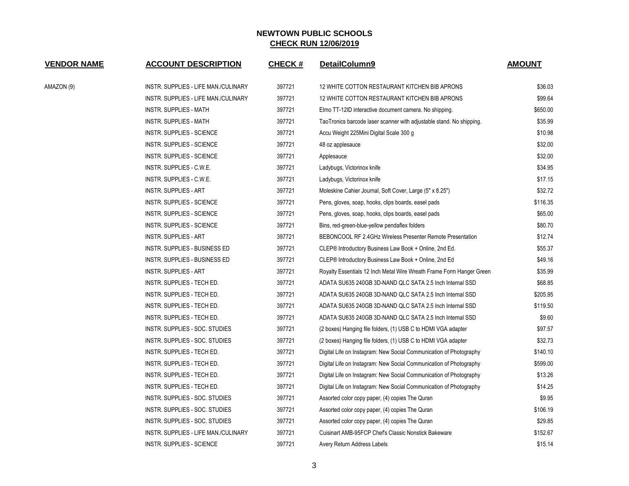| <b>VENDOR NAME</b> | <b>ACCOUNT DESCRIPTION</b>           | <b>CHECK#</b> | DetailColumn9                                                        | <b>AMOUNT</b> |
|--------------------|--------------------------------------|---------------|----------------------------------------------------------------------|---------------|
| AMAZON (9)         | INSTR. SUPPLIES - LIFE MAN./CULINARY | 397721        | 12 WHITE COTTON RESTAURANT KITCHEN BIB APRONS                        | \$36.03       |
|                    | INSTR. SUPPLIES - LIFE MAN./CULINARY | 397721        | 12 WHITE COTTON RESTAURANT KITCHEN BIB APRONS                        | \$99.64       |
|                    | INSTR. SUPPLIES - MATH               | 397721        | Elmo TT-12ID interactive document camera. No shipping.               | \$650.00      |
|                    | <b>INSTR. SUPPLIES - MATH</b>        | 397721        | TaoTronics barcode laser scanner with adjustable stand. No shipping. | \$35.99       |
|                    | INSTR. SUPPLIES - SCIENCE            | 397721        | Accu Weight 225Mini Digital Scale 300 g                              | \$10.98       |
|                    | <b>INSTR. SUPPLIES - SCIENCE</b>     | 397721        | 48 oz applesauce                                                     | \$32.00       |
|                    | INSTR. SUPPLIES - SCIENCE            | 397721        | Applesauce                                                           | \$32.00       |
|                    | INSTR. SUPPLIES - C.W.E.             | 397721        | Ladybugs, Victorinox knife                                           | \$34.95       |
|                    | INSTR. SUPPLIES - C.W.E.             | 397721        | Ladybugs, Victorinox knife                                           | \$17.15       |
|                    | <b>INSTR. SUPPLIES - ART</b>         | 397721        | Moleskine Cahier Journal, Soft Cover, Large (5" x 8.25")             | \$32.72       |
|                    | INSTR. SUPPLIES - SCIENCE            | 397721        | Pens, gloves, soap, hooks, clips boards, easel pads                  | \$116.35      |
|                    | <b>INSTR. SUPPLIES - SCIENCE</b>     | 397721        | Pens, gloves, soap, hooks, clips boards, easel pads                  | \$65.00       |
|                    | <b>INSTR. SUPPLIES - SCIENCE</b>     | 397721        | Bins, red-green-blue-yellow pendaflex folders                        | \$80.70       |
|                    | <b>INSTR. SUPPLIES - ART</b>         | 397721        | BEBONCOOL RF 2.4GHz Wireless Presenter Remote Presentation           | \$12.74       |
|                    | INSTR. SUPPLIES - BUSINESS ED        | 397721        | CLEP® Introductory Business Law Book + Online, 2nd Ed.               | \$55.37       |
|                    | INSTR. SUPPLIES - BUSINESS ED        | 397721        | CLEP® Introductory Business Law Book + Online, 2nd Ed                | \$49.16       |
|                    | <b>INSTR. SUPPLIES - ART</b>         | 397721        | Royalty Essentials 12 Inch Metal Wire Wreath Frame Form Hanger Green | \$35.99       |
|                    | INSTR. SUPPLIES - TECH ED.           | 397721        | ADATA SU635 240GB 3D-NAND QLC SATA 2.5 Inch Internal SSD             | \$68.85       |
|                    | INSTR. SUPPLIES - TECH ED.           | 397721        | ADATA SU635 240GB 3D-NAND QLC SATA 2.5 Inch Internal SSD             | \$205.95      |
|                    | INSTR. SUPPLIES - TECH ED.           | 397721        | ADATA SU635 240GB 3D-NAND QLC SATA 2.5 Inch Internal SSD             | \$119.50      |
|                    | INSTR. SUPPLIES - TECH ED.           | 397721        | ADATA SU635 240GB 3D-NAND QLC SATA 2.5 Inch Internal SSD             | \$9.60        |
|                    | INSTR. SUPPLIES - SOC. STUDIES       | 397721        | (2 boxes) Hanging file folders, (1) USB C to HDMI VGA adapter        | \$97.57       |
|                    | INSTR. SUPPLIES - SOC. STUDIES       | 397721        | (2 boxes) Hanging file folders, (1) USB C to HDMI VGA adapter        | \$32.73       |
|                    | INSTR. SUPPLIES - TECH ED.           | 397721        | Digital Life on Instagram: New Social Communication of Photography   | \$140.10      |
|                    | INSTR. SUPPLIES - TECH ED.           | 397721        | Digital Life on Instagram: New Social Communication of Photography   | \$599.00      |
|                    | INSTR. SUPPLIES - TECH ED.           | 397721        | Digital Life on Instagram: New Social Communication of Photography   | \$13.26       |
|                    | INSTR. SUPPLIES - TECH ED.           | 397721        | Digital Life on Instagram: New Social Communication of Photography   | \$14.25       |
|                    | INSTR. SUPPLIES - SOC. STUDIES       | 397721        | Assorted color copy paper, (4) copies The Quran                      | \$9.95        |
|                    | INSTR. SUPPLIES - SOC. STUDIES       | 397721        | Assorted color copy paper, (4) copies The Quran                      | \$106.19      |
|                    | INSTR. SUPPLIES - SOC. STUDIES       | 397721        | Assorted color copy paper, (4) copies The Quran                      | \$29.85       |
|                    | INSTR. SUPPLIES - LIFE MAN./CULINARY | 397721        | Cuisinart AMB-95FCP Chef's Classic Nonstick Bakeware                 | \$152.67      |
|                    | <b>INSTR. SUPPLIES - SCIENCE</b>     | 397721        | Avery Return Address Labels                                          | \$15.14       |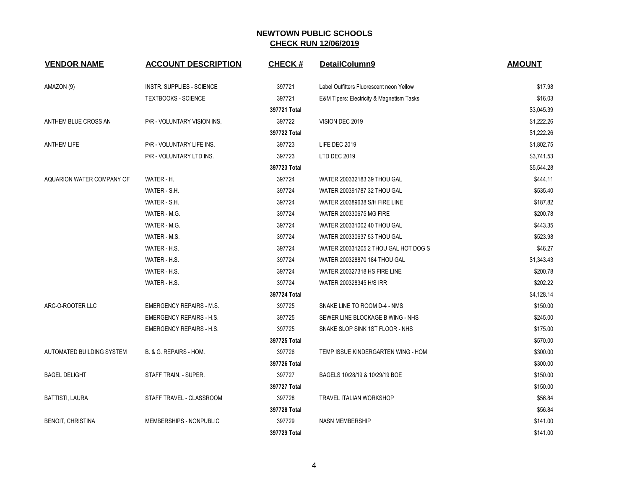| <b>VENDOR NAME</b>        | <b>ACCOUNT DESCRIPTION</b>       | <b>CHECK#</b> | DetailColumn9                             | <b>AMOUNT</b> |
|---------------------------|----------------------------------|---------------|-------------------------------------------|---------------|
| AMAZON (9)                | <b>INSTR. SUPPLIES - SCIENCE</b> | 397721        | Label Outfitters Fluorescent neon Yellow  | \$17.98       |
|                           | <b>TEXTBOOKS - SCIENCE</b>       | 397721        | E&M Tipers: Electricity & Magnetism Tasks | \$16.03       |
|                           |                                  | 397721 Total  |                                           | \$3,045.39    |
| ANTHEM BLUE CROSS AN      | P/R - VOLUNTARY VISION INS.      | 397722        | VISION DEC 2019                           | \$1,222.26    |
|                           |                                  | 397722 Total  |                                           | \$1,222.26    |
| <b>ANTHEM LIFE</b>        | P/R - VOLUNTARY LIFE INS.        | 397723        | LIFE DEC 2019                             | \$1,802.75    |
|                           | P/R - VOLUNTARY LTD INS.         | 397723        | LTD DEC 2019                              | \$3,741.53    |
|                           |                                  | 397723 Total  |                                           | \$5,544.28    |
| AQUARION WATER COMPANY OF | WATER - H.                       | 397724        | WATER 200332183 39 THOU GAL               | \$444.11      |
|                           | WATER - S.H.                     | 397724        | WATER 200391787 32 THOU GAL               | \$535.40      |
|                           | WATER - S.H.                     | 397724        | WATER 200389638 S/H FIRE LINE             | \$187.82      |
|                           | WATER - M.G.                     | 397724        | WATER 200330675 MG FIRE                   | \$200.78      |
|                           | WATER - M.G.                     | 397724        | WATER 200331002 40 THOU GAL               | \$443.35      |
|                           | WATER - M.S.                     | 397724        | WATER 200330637 53 THOU GAL               | \$523.98      |
|                           | WATER - H.S.                     | 397724        | WATER 200331205 2 THOU GAL HOT DOG S      | \$46.27       |
|                           | WATER - H.S.                     | 397724        | WATER 200328870 184 THOU GAL              | \$1,343.43    |
|                           | WATER - H.S.                     | 397724        | <b>WATER 200327318 HS FIRE LINE</b>       | \$200.78      |
|                           | WATER - H.S.                     | 397724        | WATER 200328345 H/S IRR                   | \$202.22      |
|                           |                                  | 397724 Total  |                                           | \$4,128.14    |
| ARC-O-ROOTER LLC          | <b>EMERGENCY REPAIRS - M.S.</b>  | 397725        | SNAKE LINE TO ROOM D-4 - NMS              | \$150.00      |
|                           | <b>EMERGENCY REPAIRS - H.S.</b>  | 397725        | SEWER LINE BLOCKAGE B WING - NHS          | \$245.00      |
|                           | <b>EMERGENCY REPAIRS - H.S.</b>  | 397725        | SNAKE SLOP SINK 1ST FLOOR - NHS           | \$175.00      |
|                           |                                  | 397725 Total  |                                           | \$570.00      |
| AUTOMATED BUILDING SYSTEM | B. & G. REPAIRS - HOM.           | 397726        | TEMP ISSUE KINDERGARTEN WING - HOM        | \$300.00      |
|                           |                                  | 397726 Total  |                                           | \$300.00      |
| <b>BAGEL DELIGHT</b>      | STAFF TRAIN. - SUPER.            | 397727        | BAGELS 10/28/19 & 10/29/19 BOE            | \$150.00      |
|                           |                                  | 397727 Total  |                                           | \$150.00      |
| BATTISTI, LAURA           | STAFF TRAVEL - CLASSROOM         | 397728        | <b>TRAVEL ITALIAN WORKSHOP</b>            | \$56.84       |
|                           |                                  | 397728 Total  |                                           | \$56.84       |
| <b>BENOIT, CHRISTINA</b>  | MEMBERSHIPS - NONPUBLIC          | 397729        | <b>NASN MEMBERSHIP</b>                    | \$141.00      |
|                           |                                  | 397729 Total  |                                           | \$141.00      |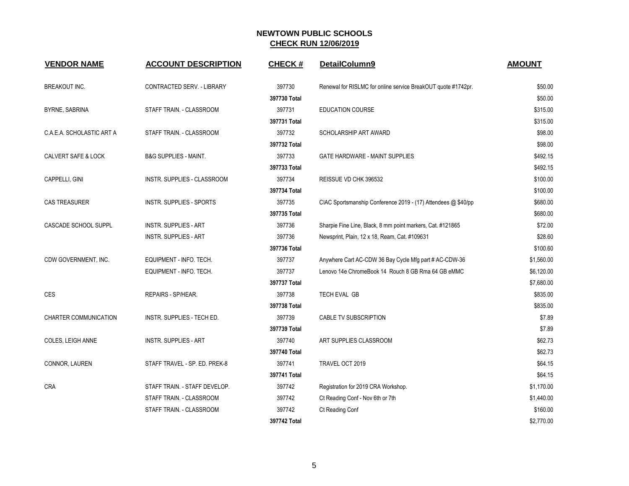| <b>VENDOR NAME</b>        | <b>ACCOUNT DESCRIPTION</b>       | <b>CHECK#</b> | DetailColumn9                                                 | <b>AMOUNT</b> |
|---------------------------|----------------------------------|---------------|---------------------------------------------------------------|---------------|
| <b>BREAKOUT INC.</b>      | CONTRACTED SERV. - LIBRARY       | 397730        | Renewal for RISLMC for online service BreakOUT quote #1742pr. | \$50.00       |
|                           |                                  | 397730 Total  |                                                               | \$50.00       |
| BYRNE, SABRINA            | STAFF TRAIN. - CLASSROOM         | 397731        | <b>EDUCATION COURSE</b>                                       | \$315.00      |
|                           |                                  | 397731 Total  |                                                               | \$315.00      |
| C.A.E.A. SCHOLASTIC ART A | STAFF TRAIN. - CLASSROOM         | 397732        | SCHOLARSHIP ART AWARD                                         | \$98.00       |
|                           |                                  | 397732 Total  |                                                               | \$98.00       |
| CALVERT SAFE & LOCK       | <b>B&amp;G SUPPLIES - MAINT.</b> | 397733        | <b>GATE HARDWARE - MAINT SUPPLIES</b>                         | \$492.15      |
|                           |                                  | 397733 Total  |                                                               | \$492.15      |
| CAPPELLI, GINI            | INSTR. SUPPLIES - CLASSROOM      | 397734        | REISSUE VD CHK 396532                                         | \$100.00      |
|                           |                                  | 397734 Total  |                                                               | \$100.00      |
| <b>CAS TREASURER</b>      | <b>INSTR. SUPPLIES - SPORTS</b>  | 397735        | CIAC Sportsmanship Conference 2019 - (17) Attendees @ \$40/pp | \$680.00      |
|                           |                                  | 397735 Total  |                                                               | \$680.00      |
| CASCADE SCHOOL SUPPL      | <b>INSTR. SUPPLIES - ART</b>     | 397736        | Sharpie Fine Line, Black, 8 mm point markers, Cat. #121865    | \$72.00       |
|                           | <b>INSTR. SUPPLIES - ART</b>     | 397736        | Newsprint, Plain, 12 x 18, Ream, Cat. #109631                 | \$28.60       |
|                           |                                  | 397736 Total  |                                                               | \$100.60      |
| CDW GOVERNMENT, INC.      | EQUIPMENT - INFO. TECH.          | 397737        | Anywhere Cart AC-CDW 36 Bay Cycle Mfg part # AC-CDW-36        | \$1,560.00    |
|                           | EQUIPMENT - INFO. TECH.          | 397737        | Lenovo 14e ChromeBook 14 Rouch 8 GB Rma 64 GB eMMC            | \$6,120.00    |
|                           |                                  | 397737 Total  |                                                               | \$7,680.00    |
| CES                       | REPAIRS - SP/HEAR.               | 397738        | TECH EVAL GB                                                  | \$835.00      |
|                           |                                  | 397738 Total  |                                                               | \$835.00      |
| CHARTER COMMUNICATION     | INSTR. SUPPLIES - TECH ED.       | 397739        | CABLE TV SUBSCRIPTION                                         | \$7.89        |
|                           |                                  | 397739 Total  |                                                               | \$7.89        |
| COLES, LEIGH ANNE         | <b>INSTR. SUPPLIES - ART</b>     | 397740        | ART SUPPLIES CLASSROOM                                        | \$62.73       |
|                           |                                  | 397740 Total  |                                                               | \$62.73       |
| CONNOR, LAUREN            | STAFF TRAVEL - SP. ED. PREK-8    | 397741        | TRAVEL OCT 2019                                               | \$64.15       |
|                           |                                  | 397741 Total  |                                                               | \$64.15       |
| CRA                       | STAFF TRAIN. - STAFF DEVELOP.    | 397742        | Registration for 2019 CRA Workshop.                           | \$1,170.00    |
|                           | STAFF TRAIN. - CLASSROOM         | 397742        | Ct Reading Conf - Nov 6th or 7th                              | \$1,440.00    |
|                           | STAFF TRAIN. - CLASSROOM         | 397742        | Ct Reading Conf                                               | \$160.00      |
|                           |                                  | 397742 Total  |                                                               | \$2,770.00    |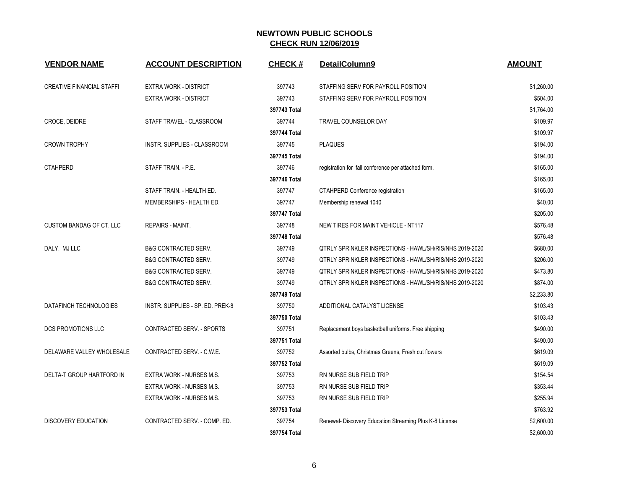| <b>VENDOR NAME</b>               | <b>ACCOUNT DESCRIPTION</b>       | <b>CHECK#</b> | DetailColumn9                                                  | <b>AMOUNT</b> |
|----------------------------------|----------------------------------|---------------|----------------------------------------------------------------|---------------|
| <b>CREATIVE FINANCIAL STAFFI</b> | <b>EXTRA WORK - DISTRICT</b>     | 397743        | STAFFING SERV FOR PAYROLL POSITION                             | \$1,260.00    |
|                                  | <b>EXTRA WORK - DISTRICT</b>     | 397743        | STAFFING SERV FOR PAYROLL POSITION                             | \$504.00      |
|                                  |                                  | 397743 Total  |                                                                | \$1,764.00    |
| CROCE, DEIDRE                    | STAFF TRAVEL - CLASSROOM         | 397744        | TRAVEL COUNSELOR DAY                                           | \$109.97      |
|                                  |                                  | 397744 Total  |                                                                | \$109.97      |
| <b>CROWN TROPHY</b>              | INSTR. SUPPLIES - CLASSROOM      | 397745        | <b>PLAQUES</b>                                                 | \$194.00      |
|                                  |                                  | 397745 Total  |                                                                | \$194.00      |
| <b>CTAHPERD</b>                  | STAFF TRAIN. - P.E.              | 397746        | registration for fall conference per attached form.            | \$165.00      |
|                                  |                                  | 397746 Total  |                                                                | \$165.00      |
|                                  | STAFF TRAIN. - HEALTH ED.        | 397747        | CTAHPERD Conference registration                               | \$165.00      |
|                                  | MEMBERSHIPS - HEALTH ED.         | 397747        | Membership renewal 1040                                        | \$40.00       |
|                                  |                                  | 397747 Total  |                                                                | \$205.00      |
| <b>CUSTOM BANDAG OF CT. LLC</b>  | REPAIRS - MAINT.                 | 397748        | NEW TIRES FOR MAINT VEHICLE - NT117                            | \$576.48      |
|                                  |                                  | 397748 Total  |                                                                | \$576.48      |
| DALY, MJ LLC                     | <b>B&amp;G CONTRACTED SERV.</b>  | 397749        | <b>QTRLY SPRINKLER INSPECTIONS - HAWL/SH/RIS/NHS 2019-2020</b> | \$680.00      |
|                                  | <b>B&amp;G CONTRACTED SERV.</b>  | 397749        | QTRLY SPRINKLER INSPECTIONS - HAWL/SH/RIS/NHS 2019-2020        | \$206.00      |
|                                  | <b>B&amp;G CONTRACTED SERV.</b>  | 397749        | QTRLY SPRINKLER INSPECTIONS - HAWL/SH/RIS/NHS 2019-2020        | \$473.80      |
|                                  | <b>B&amp;G CONTRACTED SERV.</b>  | 397749        | QTRLY SPRINKLER INSPECTIONS - HAWL/SH/RIS/NHS 2019-2020        | \$874.00      |
|                                  |                                  | 397749 Total  |                                                                | \$2,233.80    |
| DATAFINCH TECHNOLOGIES           | INSTR. SUPPLIES - SP. ED. PREK-8 | 397750        | ADDITIONAL CATALYST LICENSE                                    | \$103.43      |
|                                  |                                  | 397750 Total  |                                                                | \$103.43      |
| DCS PROMOTIONS LLC               | <b>CONTRACTED SERV. - SPORTS</b> | 397751        | Replacement boys basketball uniforms. Free shipping            | \$490.00      |
|                                  |                                  | 397751 Total  |                                                                | \$490.00      |
| DELAWARE VALLEY WHOLESALE        | CONTRACTED SERV. - C.W.E.        | 397752        | Assorted bulbs, Christmas Greens, Fresh cut flowers            | \$619.09      |
|                                  |                                  | 397752 Total  |                                                                | \$619.09      |
| DELTA-T GROUP HARTFORD IN        | EXTRA WORK - NURSES M.S.         | 397753        | RN NURSE SUB FIELD TRIP                                        | \$154.54      |
|                                  | EXTRA WORK - NURSES M.S.         | 397753        | RN NURSE SUB FIELD TRIP                                        | \$353.44      |
|                                  | EXTRA WORK - NURSES M.S.         | 397753        | RN NURSE SUB FIELD TRIP                                        | \$255.94      |
|                                  |                                  | 397753 Total  |                                                                | \$763.92      |
| <b>DISCOVERY EDUCATION</b>       | CONTRACTED SERV. - COMP. ED.     | 397754        | Renewal- Discovery Education Streaming Plus K-8 License        | \$2,600.00    |
|                                  |                                  | 397754 Total  |                                                                | \$2,600.00    |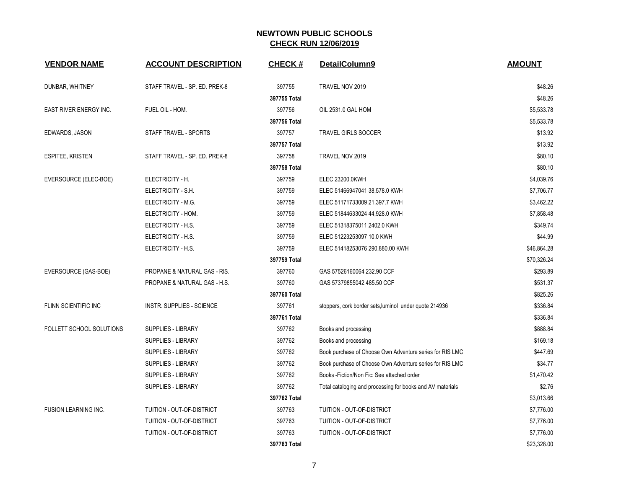| <b>VENDOR NAME</b>              | <b>ACCOUNT DESCRIPTION</b>       | <b>CHECK#</b> | DetailColumn9                                              | <b>AMOUNT</b> |
|---------------------------------|----------------------------------|---------------|------------------------------------------------------------|---------------|
|                                 |                                  |               |                                                            |               |
| DUNBAR, WHITNEY                 | STAFF TRAVEL - SP. ED. PREK-8    | 397755        | TRAVEL NOV 2019                                            | \$48.26       |
|                                 |                                  | 397755 Total  |                                                            | \$48.26       |
| EAST RIVER ENERGY INC.          | FUEL OIL - HOM.                  | 397756        | OIL 2531.0 GAL HOM                                         | \$5,533.78    |
|                                 |                                  | 397756 Total  |                                                            | \$5,533.78    |
| EDWARDS, JASON                  | STAFF TRAVEL - SPORTS            | 397757        | <b>TRAVEL GIRLS SOCCER</b>                                 | \$13.92       |
|                                 |                                  | 397757 Total  |                                                            | \$13.92       |
| <b>ESPITEE, KRISTEN</b>         | STAFF TRAVEL - SP. ED. PREK-8    | 397758        | TRAVEL NOV 2019                                            | \$80.10       |
|                                 |                                  | 397758 Total  |                                                            | \$80.10       |
| EVERSOURCE (ELEC-BOE)           | ELECTRICITY - H.                 | 397759        | ELEC 23200.0KWH                                            | \$4,039.76    |
|                                 | ELECTRICITY - S.H.               | 397759        | ELEC 51466947041 38,578.0 KWH                              | \$7,706.77    |
|                                 | ELECTRICITY - M.G.               | 397759        | ELEC 51171733009 21.397.7 KWH                              | \$3,462.22    |
|                                 | ELECTRICITY - HOM.               | 397759        | ELEC 51844633024 44,928.0 KWH                              | \$7,858.48    |
|                                 | ELECTRICITY - H.S.               | 397759        | ELEC 51318375011 2402.0 KWH                                | \$349.74      |
|                                 | ELECTRICITY - H.S.               | 397759        | ELEC 51223253097 10.0 KWH                                  | \$44.99       |
|                                 | ELECTRICITY - H.S.               | 397759        | ELEC 51418253076 290,880.00 KWH                            | \$46,864.28   |
|                                 |                                  | 397759 Total  |                                                            | \$70,326.24   |
| EVERSOURCE (GAS-BOE)            | PROPANE & NATURAL GAS - RIS.     | 397760        | GAS 57526160064 232.90 CCF                                 | \$293.89      |
|                                 | PROPANE & NATURAL GAS - H.S.     | 397760        | GAS 57379855042 485.50 CCF                                 | \$531.37      |
|                                 |                                  | 397760 Total  |                                                            | \$825.26      |
| <b>FLINN SCIENTIFIC INC</b>     | <b>INSTR. SUPPLIES - SCIENCE</b> | 397761        | stoppers, cork border sets, luminol under quote 214936     | \$336.84      |
|                                 |                                  | 397761 Total  |                                                            | \$336.84      |
| <b>FOLLETT SCHOOL SOLUTIONS</b> | <b>SUPPLIES - LIBRARY</b>        | 397762        | Books and processing                                       | \$888.84      |
|                                 | <b>SUPPLIES - LIBRARY</b>        | 397762        | Books and processing                                       | \$169.18      |
|                                 | SUPPLIES - LIBRARY               | 397762        | Book purchase of Choose Own Adventure series for RIS LMC   | \$447.69      |
|                                 | <b>SUPPLIES - LIBRARY</b>        | 397762        | Book purchase of Choose Own Adventure series for RIS LMC   | \$34.77       |
|                                 | SUPPLIES - LIBRARY               | 397762        | Books -Fiction/Non Fic: See attached order                 | \$1,470.42    |
|                                 | <b>SUPPLIES - LIBRARY</b>        | 397762        | Total cataloging and processing for books and AV materials | \$2.76        |
|                                 |                                  | 397762 Total  |                                                            | \$3,013.66    |
| FUSION LEARNING INC.            | TUITION - OUT-OF-DISTRICT        | 397763        | TUITION - OUT-OF-DISTRICT                                  | \$7,776.00    |
|                                 | TUITION - OUT-OF-DISTRICT        | 397763        | TUITION - OUT-OF-DISTRICT                                  | \$7,776.00    |
|                                 | TUITION - OUT-OF-DISTRICT        | 397763        | TUITION - OUT-OF-DISTRICT                                  | \$7,776.00    |
|                                 |                                  | 397763 Total  |                                                            | \$23,328.00   |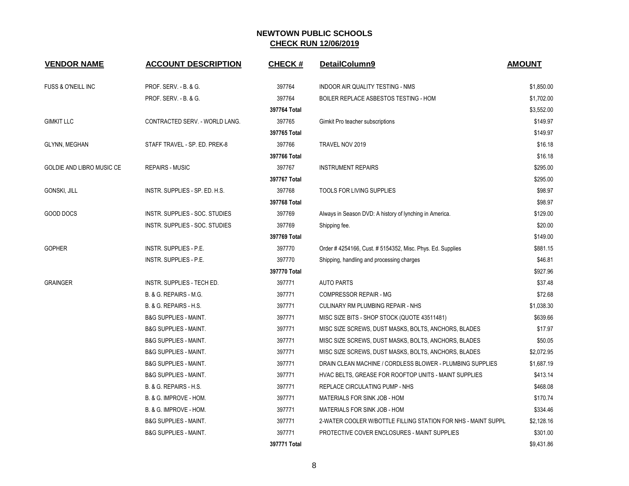| <b>VENDOR NAME</b>            | <b>ACCOUNT DESCRIPTION</b>       | <b>CHECK#</b> | DetailColumn9                                                 | <b>AMOUNT</b> |
|-------------------------------|----------------------------------|---------------|---------------------------------------------------------------|---------------|
| <b>FUSS &amp; O'NEILL INC</b> | PROF. SERV. - B. & G.            | 397764        | INDOOR AIR QUALITY TESTING - NMS                              | \$1,850.00    |
|                               | PROF. SERV. - B. & G.            | 397764        | BOILER REPLACE ASBESTOS TESTING - HOM                         | \$1,702.00    |
|                               |                                  | 397764 Total  |                                                               | \$3,552.00    |
| <b>GIMKIT LLC</b>             | CONTRACTED SERV. - WORLD LANG.   | 397765        | Gimkit Pro teacher subscriptions                              | \$149.97      |
|                               |                                  | 397765 Total  |                                                               | \$149.97      |
| <b>GLYNN, MEGHAN</b>          | STAFF TRAVEL - SP. ED. PREK-8    | 397766        | TRAVEL NOV 2019                                               | \$16.18       |
|                               |                                  | 397766 Total  |                                                               | \$16.18       |
| GOLDIE AND LIBRO MUSIC CE     | <b>REPAIRS - MUSIC</b>           | 397767        | <b>INSTRUMENT REPAIRS</b>                                     | \$295.00      |
|                               |                                  | 397767 Total  |                                                               | \$295.00      |
| <b>GONSKI, JILL</b>           | INSTR. SUPPLIES - SP. ED. H.S.   | 397768        | <b>TOOLS FOR LIVING SUPPLIES</b>                              | \$98.97       |
|                               |                                  | 397768 Total  |                                                               | \$98.97       |
| GOOD DOCS                     | INSTR. SUPPLIES - SOC. STUDIES   | 397769        | Always in Season DVD: A history of lynching in America.       | \$129.00      |
|                               | INSTR. SUPPLIES - SOC. STUDIES   | 397769        | Shipping fee.                                                 | \$20.00       |
|                               |                                  | 397769 Total  |                                                               | \$149.00      |
| <b>GOPHER</b>                 | <b>INSTR. SUPPLIES - P.E.</b>    | 397770        | Order # 4254166, Cust. # 5154352, Misc. Phys. Ed. Supplies    | \$881.15      |
|                               | <b>INSTR. SUPPLIES - P.E.</b>    | 397770        | Shipping, handling and processing charges                     | \$46.81       |
|                               |                                  | 397770 Total  |                                                               | \$927.96      |
| <b>GRAINGER</b>               | INSTR. SUPPLIES - TECH ED.       | 397771        | <b>AUTO PARTS</b>                                             | \$37.48       |
|                               | B. & G. REPAIRS - M.G.           | 397771        | <b>COMPRESSOR REPAIR - MG</b>                                 | \$72.68       |
|                               | B. & G. REPAIRS - H.S.           | 397771        | CULINARY RM PLUMBING REPAIR - NHS                             | \$1,038.30    |
|                               | <b>B&amp;G SUPPLIES - MAINT.</b> | 397771        | MISC SIZE BITS - SHOP STOCK (QUOTE 43511481)                  | \$639.66      |
|                               | <b>B&amp;G SUPPLIES - MAINT.</b> | 397771        | MISC SIZE SCREWS, DUST MASKS, BOLTS, ANCHORS, BLADES          | \$17.97       |
|                               | <b>B&amp;G SUPPLIES - MAINT.</b> | 397771        | MISC SIZE SCREWS, DUST MASKS, BOLTS, ANCHORS, BLADES          | \$50.05       |
|                               | <b>B&amp;G SUPPLIES - MAINT.</b> | 397771        | MISC SIZE SCREWS, DUST MASKS, BOLTS, ANCHORS, BLADES          | \$2,072.95    |
|                               | <b>B&amp;G SUPPLIES - MAINT.</b> | 397771        | DRAIN CLEAN MACHINE / CORDLESS BLOWER - PLUMBING SUPPLIES     | \$1,687.19    |
|                               | <b>B&amp;G SUPPLIES - MAINT.</b> | 397771        | HVAC BELTS, GREASE FOR ROOFTOP UNITS - MAINT SUPPLIES         | \$413.14      |
|                               | B. & G. REPAIRS - H.S.           | 397771        | REPLACE CIRCULATING PUMP - NHS                                | \$468.08      |
|                               | B. & G. IMPROVE - HOM.           | 397771        | MATERIALS FOR SINK JOB - HOM                                  | \$170.74      |
|                               | B. & G. IMPROVE - HOM.           | 397771        | MATERIALS FOR SINK JOB - HOM                                  | \$334.46      |
|                               | <b>B&amp;G SUPPLIES - MAINT.</b> | 397771        | 2-WATER COOLER W/BOTTLE FILLING STATION FOR NHS - MAINT SUPPL | \$2,128.16    |
|                               | <b>B&amp;G SUPPLIES - MAINT.</b> | 397771        | PROTECTIVE COVER ENCLOSURES - MAINT SUPPLIES                  | \$301.00      |
|                               |                                  | 397771 Total  |                                                               | \$9,431.86    |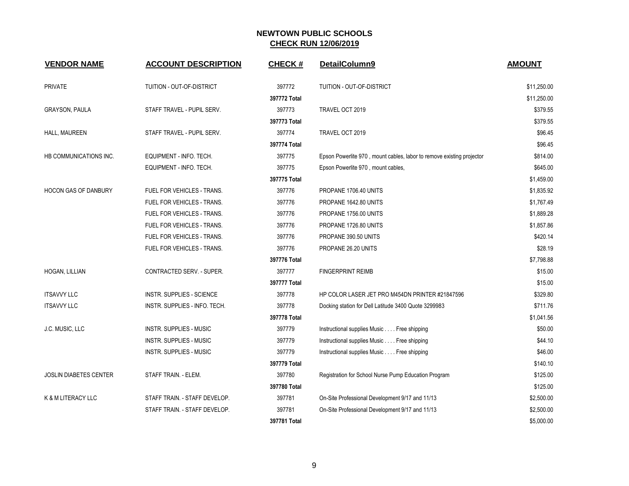| <b>VENDOR NAME</b>            | <b>ACCOUNT DESCRIPTION</b>       | <b>CHECK#</b> | DetailColumn9                                                         | <b>AMOUNT</b> |
|-------------------------------|----------------------------------|---------------|-----------------------------------------------------------------------|---------------|
| <b>PRIVATE</b>                | TUITION - OUT-OF-DISTRICT        | 397772        | TUITION - OUT-OF-DISTRICT                                             | \$11,250.00   |
|                               |                                  | 397772 Total  |                                                                       | \$11,250.00   |
| GRAYSON, PAULA                | STAFF TRAVEL - PUPIL SERV.       | 397773        | TRAVEL OCT 2019                                                       | \$379.55      |
|                               |                                  | 397773 Total  |                                                                       | \$379.55      |
| HALL, MAUREEN                 | STAFF TRAVEL - PUPIL SERV.       | 397774        | TRAVEL OCT 2019                                                       | \$96.45       |
|                               |                                  | 397774 Total  |                                                                       | \$96.45       |
| HB COMMUNICATIONS INC.        | EQUIPMENT - INFO. TECH.          | 397775        | Epson Powerlite 970, mount cables, labor to remove existing projector | \$814.00      |
|                               | EQUIPMENT - INFO. TECH.          | 397775        | Epson Powerlite 970, mount cables,                                    | \$645.00      |
|                               |                                  | 397775 Total  |                                                                       | \$1,459.00    |
| <b>HOCON GAS OF DANBURY</b>   | FUEL FOR VEHICLES - TRANS.       | 397776        | PROPANE 1706.40 UNITS                                                 | \$1,835.92    |
|                               | FUEL FOR VEHICLES - TRANS.       | 397776        | PROPANE 1642.80 UNITS                                                 | \$1,767.49    |
|                               | FUEL FOR VEHICLES - TRANS.       | 397776        | PROPANE 1756.00 UNITS                                                 | \$1,889.28    |
|                               | FUEL FOR VEHICLES - TRANS.       | 397776        | PROPANE 1726.80 UNITS                                                 | \$1,857.86    |
|                               | FUEL FOR VEHICLES - TRANS.       | 397776        | PROPANE 390.50 UNITS                                                  | \$420.14      |
|                               | FUEL FOR VEHICLES - TRANS.       | 397776        | PROPANE 26.20 UNITS                                                   | \$28.19       |
|                               |                                  | 397776 Total  |                                                                       | \$7,798.88    |
| HOGAN, LILLIAN                | <b>CONTRACTED SERV. - SUPER.</b> | 397777        | <b>FINGERPRINT REIMB</b>                                              | \$15.00       |
|                               |                                  | 397777 Total  |                                                                       | \$15.00       |
| <b>ITSAVVY LLC</b>            | <b>INSTR. SUPPLIES - SCIENCE</b> | 397778        | HP COLOR LASER JET PRO M454DN PRINTER #21847596                       | \$329.80      |
| <b>ITSAVVY LLC</b>            | INSTR. SUPPLIES - INFO. TECH.    | 397778        | Docking station for Dell Latitude 3400 Quote 3299983                  | \$711.76      |
|                               |                                  | 397778 Total  |                                                                       | \$1,041.56    |
| J.C. MUSIC, LLC               | <b>INSTR. SUPPLIES - MUSIC</b>   | 397779        | Instructional supplies Music Free shipping                            | \$50.00       |
|                               | <b>INSTR. SUPPLIES - MUSIC</b>   | 397779        | Instructional supplies Music Free shipping                            | \$44.10       |
|                               | <b>INSTR. SUPPLIES - MUSIC</b>   | 397779        | Instructional supplies Music Free shipping                            | \$46.00       |
|                               |                                  | 397779 Total  |                                                                       | \$140.10      |
| <b>JOSLIN DIABETES CENTER</b> | STAFF TRAIN. - ELEM.             | 397780        | Registration for School Nurse Pump Education Program                  | \$125.00      |
|                               |                                  | 397780 Total  |                                                                       | \$125.00      |
| K & M LITERACY LLC            | STAFF TRAIN. - STAFF DEVELOP.    | 397781        | On-Site Professional Development 9/17 and 11/13                       | \$2,500.00    |
|                               | STAFF TRAIN. - STAFF DEVELOP.    | 397781        | On-Site Professional Development 9/17 and 11/13                       | \$2,500.00    |
|                               |                                  | 397781 Total  |                                                                       | \$5,000.00    |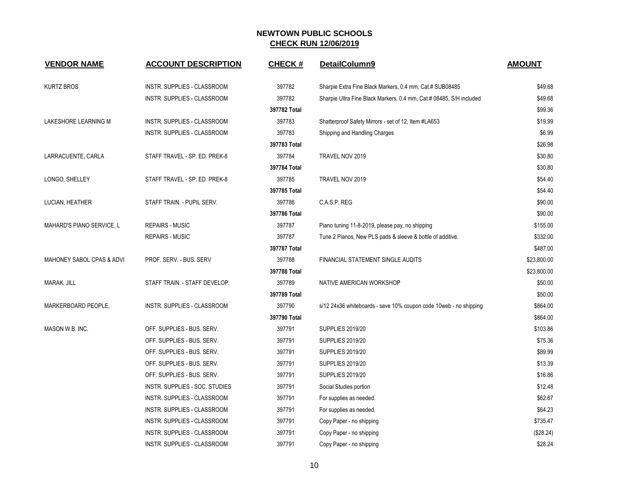| <b>VENDOR NAME</b>        | <b>ACCOUNT DESCRIPTION</b>     | <b>CHECK#</b> | DetailColumn9                                                       | <b>AMOUNT</b> |
|---------------------------|--------------------------------|---------------|---------------------------------------------------------------------|---------------|
| <b>KURTZ BROS</b>         | INSTR. SUPPLIES - CLASSROOM    | 397782        | Sharpie Extra Fine Black Markers, 0.4 mm, Cat.# SUB08485            | \$49.68       |
|                           | INSTR. SUPPLIES - CLASSROOM    | 397782        | Sharpie Ultra Fine Black Markers, 0.4 mm, Cat.# 08485, S/H included | \$49.68       |
|                           |                                | 397782 Total  |                                                                     | \$99.36       |
| LAKESHORE LEARNING M      | INSTR. SUPPLIES - CLASSROOM    | 397783        | Shatterproof Safety Mirrors - set of 12, Item #LA653                | \$19.99       |
|                           | INSTR. SUPPLIES - CLASSROOM    | 397783        | Shipping and Handling Charges                                       | \$6.99        |
|                           |                                | 397783 Total  |                                                                     | \$26.98       |
| LARRACUENTE, CARLA        | STAFF TRAVEL - SP. ED. PREK-8  | 397784        | TRAVEL NOV 2019                                                     | \$30.80       |
|                           |                                | 397784 Total  |                                                                     | \$30.80       |
| LONGO, SHELLEY            | STAFF TRAVEL - SP. ED. PREK-8  | 397785        | TRAVEL NOV 2019                                                     | \$54.40       |
|                           |                                | 397785 Total  |                                                                     | \$54.40       |
| LUCIAN, HEATHER           | STAFF TRAIN. - PUPIL SERV.     | 397786        | C.A.S.P. REG                                                        | \$90.00       |
|                           |                                | 397786 Total  |                                                                     | \$90.00       |
| MAHARD'S PIANO SERVICE, L | <b>REPAIRS - MUSIC</b>         | 397787        | Piano tuning 11-8-2019, please pay, no shipping                     | \$155.00      |
|                           | <b>REPAIRS - MUSIC</b>         | 397787        | Tune 2 Pianos, New PLS pads & sleeve & bottle of additive.          | \$332.00      |
|                           |                                | 397787 Total  |                                                                     | \$487.00      |
| MAHONEY SABOL CPAS & ADVI | PROF. SERV. - BUS. SERV        | 397788        | FINANCIAL STATEMENT SINGLE AUDITS                                   | \$23,800.00   |
|                           |                                | 397788 Total  |                                                                     | \$23,800.00   |
| MARAK, JILL               | STAFF TRAIN. - STAFF DEVELOP.  | 397789        | NATIVE AMERICAN WORKSHOP                                            | \$50.00       |
|                           |                                | 397789 Total  |                                                                     | \$50.00       |
| MARKERBOARD PEOPLE,       | INSTR. SUPPLIES - CLASSROOM    | 397790        | s/12 24x36 whiteboards - save 10% coupon code 10 web - no shipping  | \$864.00      |
|                           |                                | 397790 Total  |                                                                     | \$864.00      |
| MASON W.B. INC.           | OFF. SUPPLIES - BUS. SERV.     | 397791        | <b>SUPPLIES 2019/20</b>                                             | \$103.86      |
|                           | OFF. SUPPLIES - BUS. SERV.     | 397791        | <b>SUPPLIES 2019/20</b>                                             | \$75.36       |
|                           | OFF. SUPPLIES - BUS. SERV.     | 397791        | <b>SUPPLIES 2019/20</b>                                             | \$89.99       |
|                           | OFF. SUPPLIES - BUS. SERV.     | 397791        | <b>SUPPLIES 2019/20</b>                                             | \$13.39       |
|                           | OFF. SUPPLIES - BUS. SERV.     | 397791        | <b>SUPPLIES 2019/20</b>                                             | \$16.86       |
|                           | INSTR. SUPPLIES - SOC. STUDIES | 397791        | Social Studies portion                                              | \$12.48       |
|                           | INSTR. SUPPLIES - CLASSROOM    | 397791        | For supplies as needed.                                             | \$62.67       |
|                           | INSTR. SUPPLIES - CLASSROOM    | 397791        | For supplies as needed.                                             | \$64.23       |
|                           | INSTR. SUPPLIES - CLASSROOM    | 397791        | Copy Paper - no shipping                                            | \$735.47      |
|                           | INSTR. SUPPLIES - CLASSROOM    | 397791        | Copy Paper - no shipping                                            | (\$28.24)     |
|                           | INSTR. SUPPLIES - CLASSROOM    | 397791        | Copy Paper - no shipping                                            | \$28.24       |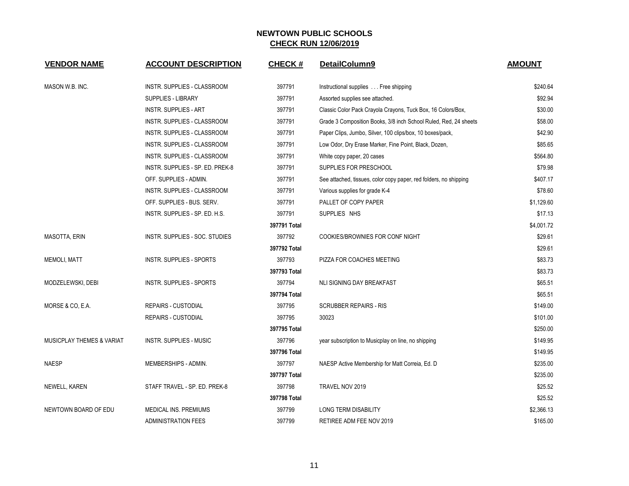| <b>VENDOR NAME</b>                   | <b>ACCOUNT DESCRIPTION</b>       | <b>CHECK#</b> | DetailColumn9                                                     | <b>AMOUNT</b> |
|--------------------------------------|----------------------------------|---------------|-------------------------------------------------------------------|---------------|
| MASON W.B. INC.                      | INSTR. SUPPLIES - CLASSROOM      | 397791        | Instructional supplies Free shipping                              | \$240.64      |
|                                      | <b>SUPPLIES - LIBRARY</b>        | 397791        | Assorted supplies see attached.                                   | \$92.94       |
|                                      | <b>INSTR. SUPPLIES - ART</b>     | 397791        | Classic Color Pack Crayola Crayons, Tuck Box, 16 Colors/Box,      | \$30.00       |
|                                      | INSTR. SUPPLIES - CLASSROOM      | 397791        | Grade 3 Composition Books, 3/8 inch School Ruled, Red, 24 sheets  | \$58.00       |
|                                      | INSTR. SUPPLIES - CLASSROOM      | 397791        | Paper Clips, Jumbo, Silver, 100 clips/box, 10 boxes/pack,         | \$42.90       |
|                                      | INSTR. SUPPLIES - CLASSROOM      | 397791        | Low Odor, Dry Erase Marker, Fine Point, Black, Dozen,             | \$85.65       |
|                                      | INSTR. SUPPLIES - CLASSROOM      | 397791        | White copy paper, 20 cases                                        | \$564.80      |
|                                      | INSTR. SUPPLIES - SP. ED. PREK-8 | 397791        | SUPPLIES FOR PRESCHOOL                                            | \$79.98       |
|                                      | OFF. SUPPLIES - ADMIN.           | 397791        | See attached, tissues, color copy paper, red folders, no shipping | \$407.17      |
|                                      | INSTR. SUPPLIES - CLASSROOM      | 397791        | Various supplies for grade K-4                                    | \$78.60       |
|                                      | OFF. SUPPLIES - BUS. SERV.       | 397791        | PALLET OF COPY PAPER                                              | \$1,129.60    |
|                                      | INSTR. SUPPLIES - SP. ED. H.S.   | 397791        | SUPPLIES NHS                                                      | \$17.13       |
|                                      |                                  | 397791 Total  |                                                                   | \$4,001.72    |
| <b>MASOTTA, ERIN</b>                 | INSTR. SUPPLIES - SOC. STUDIES   | 397792        | COOKIES/BROWNIES FOR CONF NIGHT                                   | \$29.61       |
|                                      |                                  | 397792 Total  |                                                                   | \$29.61       |
| <b>MEMOLI, MATT</b>                  | <b>INSTR. SUPPLIES - SPORTS</b>  | 397793        | PIZZA FOR COACHES MEETING                                         | \$83.73       |
|                                      |                                  | 397793 Total  |                                                                   | \$83.73       |
| MODZELEWSKI, DEBI                    | INSTR. SUPPLIES - SPORTS         | 397794        | NLI SIGNING DAY BREAKFAST                                         | \$65.51       |
|                                      |                                  | 397794 Total  |                                                                   | \$65.51       |
| MORSE & CO, E.A.                     | <b>REPAIRS - CUSTODIAL</b>       | 397795        | <b>SCRUBBER REPAIRS - RIS</b>                                     | \$149.00      |
|                                      | <b>REPAIRS - CUSTODIAL</b>       | 397795        | 30023                                                             | \$101.00      |
|                                      |                                  | 397795 Total  |                                                                   | \$250.00      |
| <b>MUSICPLAY THEMES &amp; VARIAT</b> | <b>INSTR. SUPPLIES - MUSIC</b>   | 397796        | year subscription to Musicplay on line, no shipping               | \$149.95      |
|                                      |                                  | 397796 Total  |                                                                   | \$149.95      |
| <b>NAESP</b>                         | MEMBERSHIPS - ADMIN.             | 397797        | NAESP Active Membership for Matt Correia, Ed. D                   | \$235.00      |
|                                      |                                  | 397797 Total  |                                                                   | \$235.00      |
| NEWELL, KAREN                        | STAFF TRAVEL - SP. ED. PREK-8    | 397798        | TRAVEL NOV 2019                                                   | \$25.52       |
|                                      |                                  | 397798 Total  |                                                                   | \$25.52       |
| NEWTOWN BOARD OF EDU                 | <b>MEDICAL INS. PREMIUMS</b>     | 397799        | <b>LONG TERM DISABILITY</b>                                       | \$2,366.13    |
|                                      | <b>ADMINISTRATION FEES</b>       | 397799        | RETIREE ADM FEE NOV 2019                                          | \$165.00      |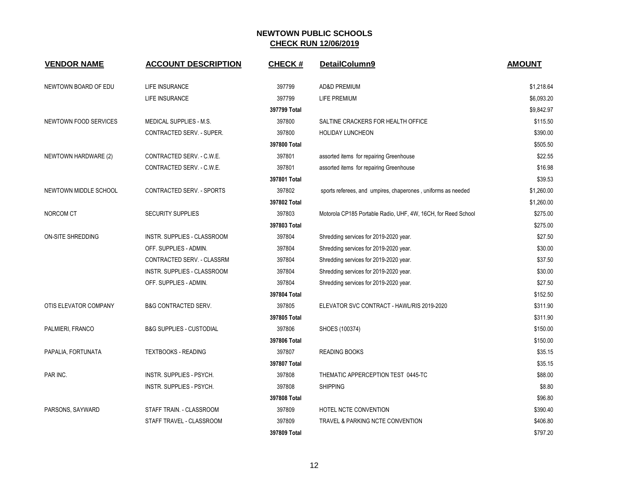| <b>VENDOR NAME</b>    | <b>ACCOUNT DESCRIPTION</b>          | <b>CHECK#</b> | DetailColumn9                                                 | <b>AMOUNT</b> |
|-----------------------|-------------------------------------|---------------|---------------------------------------------------------------|---------------|
| NEWTOWN BOARD OF EDU  | LIFE INSURANCE                      | 397799        | AD&D PREMIUM                                                  | \$1,218.64    |
|                       | LIFE INSURANCE                      | 397799        | LIFE PREMIUM                                                  | \$6,093.20    |
|                       |                                     | 397799 Total  |                                                               | \$9,842.97    |
| NEWTOWN FOOD SERVICES | <b>MEDICAL SUPPLIES - M.S.</b>      | 397800        | SALTINE CRACKERS FOR HEALTH OFFICE                            | \$115.50      |
|                       | CONTRACTED SERV. - SUPER.           | 397800        | <b>HOLIDAY LUNCHEON</b>                                       | \$390.00      |
|                       |                                     | 397800 Total  |                                                               | \$505.50      |
| NEWTOWN HARDWARE (2)  | CONTRACTED SERV. - C.W.E.           | 397801        | assorted items for repairing Greenhouse                       | \$22.55       |
|                       | CONTRACTED SERV. - C.W.E.           | 397801        | assorted items for repairing Greenhouse                       | \$16.98       |
|                       |                                     | 397801 Total  |                                                               | \$39.53       |
| NEWTOWN MIDDLE SCHOOL | CONTRACTED SERV. - SPORTS           | 397802        | sports referees, and umpires, chaperones, uniforms as needed  | \$1,260.00    |
|                       |                                     | 397802 Total  |                                                               | \$1,260.00    |
| NORCOM CT             | <b>SECURITY SUPPLIES</b>            | 397803        | Motorola CP185 Portable Radio, UHF, 4W, 16CH, for Reed School | \$275.00      |
|                       |                                     | 397803 Total  |                                                               | \$275.00      |
| ON-SITE SHREDDING     | INSTR. SUPPLIES - CLASSROOM         | 397804        | Shredding services for 2019-2020 year.                        | \$27.50       |
|                       | OFF. SUPPLIES - ADMIN.              | 397804        | Shredding services for 2019-2020 year.                        | \$30.00       |
|                       | CONTRACTED SERV. - CLASSRM          | 397804        | Shredding services for 2019-2020 year.                        | \$37.50       |
|                       | INSTR. SUPPLIES - CLASSROOM         | 397804        | Shredding services for 2019-2020 year.                        | \$30.00       |
|                       | OFF. SUPPLIES - ADMIN.              | 397804        | Shredding services for 2019-2020 year.                        | \$27.50       |
|                       |                                     | 397804 Total  |                                                               | \$152.50      |
| OTIS ELEVATOR COMPANY | <b>B&amp;G CONTRACTED SERV.</b>     | 397805        | ELEVATOR SVC CONTRACT - HAWL/RIS 2019-2020                    | \$311.90      |
|                       |                                     | 397805 Total  |                                                               | \$311.90      |
| PALMIERI, FRANCO      | <b>B&amp;G SUPPLIES - CUSTODIAL</b> | 397806        | SHOES (100374)                                                | \$150.00      |
|                       |                                     | 397806 Total  |                                                               | \$150.00      |
| PAPALIA, FORTUNATA    | <b>TEXTBOOKS - READING</b>          | 397807        | <b>READING BOOKS</b>                                          | \$35.15       |
|                       |                                     | 397807 Total  |                                                               | \$35.15       |
| PAR INC.              | INSTR. SUPPLIES - PSYCH.            | 397808        | THEMATIC APPERCEPTION TEST 0445-TC                            | \$88.00       |
|                       | INSTR. SUPPLIES - PSYCH.            | 397808        | <b>SHIPPING</b>                                               | \$8.80        |
|                       |                                     | 397808 Total  |                                                               | \$96.80       |
| PARSONS, SAYWARD      | STAFF TRAIN. - CLASSROOM            | 397809        | HOTEL NCTE CONVENTION                                         | \$390.40      |
|                       | STAFF TRAVEL - CLASSROOM            | 397809        | TRAVEL & PARKING NCTE CONVENTION                              | \$406.80      |
|                       |                                     | 397809 Total  |                                                               | \$797.20      |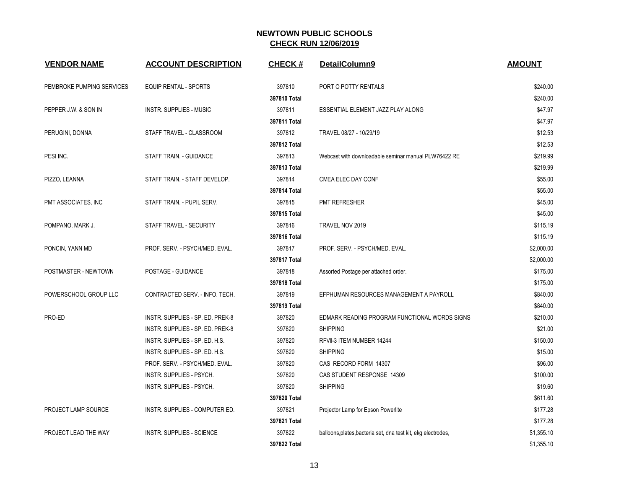| <b>VENDOR NAME</b>        | <b>ACCOUNT DESCRIPTION</b>       | <b>CHECK#</b> | DetailColumn9                                                 | <b>AMOUNT</b> |
|---------------------------|----------------------------------|---------------|---------------------------------------------------------------|---------------|
| PEMBROKE PUMPING SERVICES | EQUIP RENTAL - SPORTS            | 397810        | PORT O POTTY RENTALS                                          | \$240.00      |
|                           |                                  | 397810 Total  |                                                               | \$240.00      |
| PEPPER J.W. & SON IN      | <b>INSTR. SUPPLIES - MUSIC</b>   | 397811        | ESSENTIAL ELEMENT JAZZ PLAY ALONG                             | \$47.97       |
|                           |                                  | 397811 Total  |                                                               | \$47.97       |
| PERUGINI, DONNA           | STAFF TRAVEL - CLASSROOM         | 397812        | TRAVEL 08/27 - 10/29/19                                       | \$12.53       |
|                           |                                  | 397812 Total  |                                                               | \$12.53       |
| PESI INC.                 | STAFF TRAIN. - GUIDANCE          | 397813        | Webcast with downloadable seminar manual PLW76422 RE          | \$219.99      |
|                           |                                  | 397813 Total  |                                                               | \$219.99      |
| PIZZO, LEANNA             | STAFF TRAIN. - STAFF DEVELOP.    | 397814        | CMEA ELEC DAY CONF                                            | \$55.00       |
|                           |                                  | 397814 Total  |                                                               | \$55.00       |
| PMT ASSOCIATES, INC       | STAFF TRAIN. - PUPIL SERV.       | 397815        | PMT REFRESHER                                                 | \$45.00       |
|                           |                                  | 397815 Total  |                                                               | \$45.00       |
| POMPANO, MARK J.          | STAFF TRAVEL - SECURITY          | 397816        | TRAVEL NOV 2019                                               | \$115.19      |
|                           |                                  | 397816 Total  |                                                               | \$115.19      |
| PONCIN, YANN MD           | PROF. SERV. - PSYCH/MED. EVAL.   | 397817        | PROF. SERV. - PSYCH/MED. EVAL.                                | \$2,000.00    |
|                           |                                  | 397817 Total  |                                                               | \$2,000.00    |
| POSTMASTER - NEWTOWN      | POSTAGE - GUIDANCE               | 397818        | Assorted Postage per attached order.                          | \$175.00      |
|                           |                                  | 397818 Total  |                                                               | \$175.00      |
| POWERSCHOOL GROUP LLC     | CONTRACTED SERV. - INFO. TECH.   | 397819        | EFPHUMAN RESOURCES MANAGEMENT A PAYROLL                       | \$840.00      |
|                           |                                  | 397819 Total  |                                                               | \$840.00      |
| PRO-ED                    | INSTR. SUPPLIES - SP. ED. PREK-8 | 397820        | EDMARK READING PROGRAM FUNCTIONAL WORDS SIGNS                 | \$210.00      |
|                           | INSTR. SUPPLIES - SP. ED. PREK-8 | 397820        | <b>SHIPPING</b>                                               | \$21.00       |
|                           | INSTR. SUPPLIES - SP. ED. H.S.   | 397820        | RFVII-3 ITEM NUMBER 14244                                     | \$150.00      |
|                           | INSTR. SUPPLIES - SP. ED. H.S.   | 397820        | <b>SHIPPING</b>                                               | \$15.00       |
|                           | PROF. SERV. - PSYCH/MED. EVAL.   | 397820        | CAS RECORD FORM 14307                                         | \$96.00       |
|                           | INSTR. SUPPLIES - PSYCH.         | 397820        | CAS STUDENT RESPONSE 14309                                    | \$100.00      |
|                           | INSTR. SUPPLIES - PSYCH.         | 397820        | <b>SHIPPING</b>                                               | \$19.60       |
|                           |                                  | 397820 Total  |                                                               | \$611.60      |
| PROJECT LAMP SOURCE       | INSTR. SUPPLIES - COMPUTER ED.   | 397821        | Projector Lamp for Epson Powerlite                            | \$177.28      |
|                           |                                  | 397821 Total  |                                                               | \$177.28      |
| PROJECT LEAD THE WAY      | <b>INSTR. SUPPLIES - SCIENCE</b> | 397822        | balloons, plates, bacteria set, dna test kit, ekg electrodes, | \$1,355.10    |
|                           |                                  | 397822 Total  |                                                               | \$1,355.10    |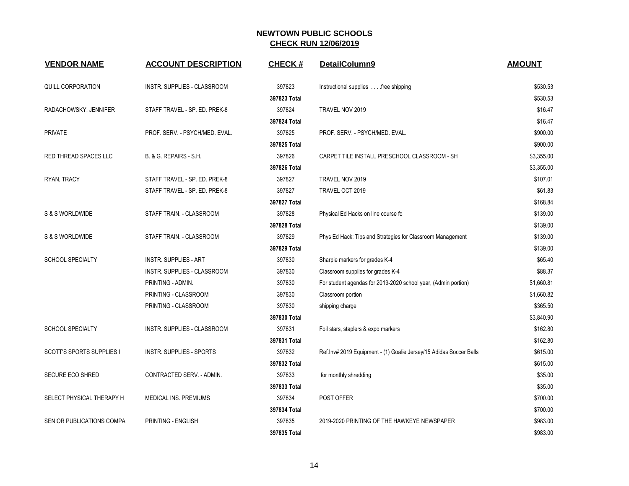| <b>VENDOR NAME</b>               | <b>ACCOUNT DESCRIPTION</b>         | <b>CHECK#</b> | DetailColumn9                                                      | <b>AMOUNT</b> |
|----------------------------------|------------------------------------|---------------|--------------------------------------------------------------------|---------------|
| <b>QUILL CORPORATION</b>         | INSTR. SUPPLIES - CLASSROOM        | 397823        | Instructional supplies free shipping                               | \$530.53      |
|                                  |                                    | 397823 Total  |                                                                    | \$530.53      |
| RADACHOWSKY, JENNIFER            | STAFF TRAVEL - SP. ED. PREK-8      | 397824        | TRAVEL NOV 2019                                                    | \$16.47       |
|                                  |                                    | 397824 Total  |                                                                    | \$16.47       |
| <b>PRIVATE</b>                   | PROF. SERV. - PSYCH/MED. EVAL.     | 397825        | PROF. SERV. - PSYCH/MED. EVAL.                                     | \$900.00      |
|                                  |                                    | 397825 Total  |                                                                    | \$900.00      |
| RED THREAD SPACES LLC            | B. & G. REPAIRS - S.H.             | 397826        | CARPET TILE INSTALL PRESCHOOL CLASSROOM - SH                       | \$3,355.00    |
|                                  |                                    | 397826 Total  |                                                                    | \$3,355.00    |
| RYAN, TRACY                      | STAFF TRAVEL - SP. ED. PREK-8      | 397827        | TRAVEL NOV 2019                                                    | \$107.01      |
|                                  | STAFF TRAVEL - SP. ED. PREK-8      | 397827        | TRAVEL OCT 2019                                                    | \$61.83       |
|                                  |                                    | 397827 Total  |                                                                    | \$168.84      |
| S & S WORLDWIDE                  | STAFF TRAIN. - CLASSROOM           | 397828        | Physical Ed Hacks on line course fo                                | \$139.00      |
|                                  |                                    | 397828 Total  |                                                                    | \$139.00      |
| S & S WORLDWIDE                  | STAFF TRAIN. - CLASSROOM           | 397829        | Phys Ed Hack: Tips and Strategies for Classroom Management         | \$139.00      |
|                                  |                                    | 397829 Total  |                                                                    | \$139.00      |
| <b>SCHOOL SPECIALTY</b>          | <b>INSTR. SUPPLIES - ART</b>       | 397830        | Sharpie markers for grades K-4                                     | \$65.40       |
|                                  | <b>INSTR. SUPPLIES - CLASSROOM</b> | 397830        | Classroom supplies for grades K-4                                  | \$88.37       |
|                                  | PRINTING - ADMIN.                  | 397830        | For student agendas for 2019-2020 school year, (Admin portion)     | \$1,660.81    |
|                                  | PRINTING - CLASSROOM               | 397830        | Classroom portion                                                  | \$1,660.82    |
|                                  | PRINTING - CLASSROOM               | 397830        | shipping charge                                                    | \$365.50      |
|                                  |                                    | 397830 Total  |                                                                    | \$3,840.90    |
| <b>SCHOOL SPECIALTY</b>          | INSTR. SUPPLIES - CLASSROOM        | 397831        | Foil stars, staplers & expo markers                                | \$162.80      |
|                                  |                                    | 397831 Total  |                                                                    | \$162.80      |
| <b>SCOTT'S SPORTS SUPPLIES I</b> | <b>INSTR. SUPPLIES - SPORTS</b>    | 397832        | Ref.Inv# 2019 Equipment - (1) Goalie Jersey/15 Adidas Soccer Balls | \$615.00      |
|                                  |                                    | 397832 Total  |                                                                    | \$615.00      |
| <b>SECURE ECO SHRED</b>          | CONTRACTED SERV. - ADMIN.          | 397833        | for monthly shredding                                              | \$35.00       |
|                                  |                                    | 397833 Total  |                                                                    | \$35.00       |
| SELECT PHYSICAL THERAPY H        | MEDICAL INS. PREMIUMS              | 397834        | POST OFFER                                                         | \$700.00      |
|                                  |                                    | 397834 Total  |                                                                    | \$700.00      |
| SENIOR PUBLICATIONS COMPA        | PRINTING - ENGLISH                 | 397835        | 2019-2020 PRINTING OF THE HAWKEYE NEWSPAPER                        | \$983.00      |
|                                  |                                    | 397835 Total  |                                                                    | \$983.00      |